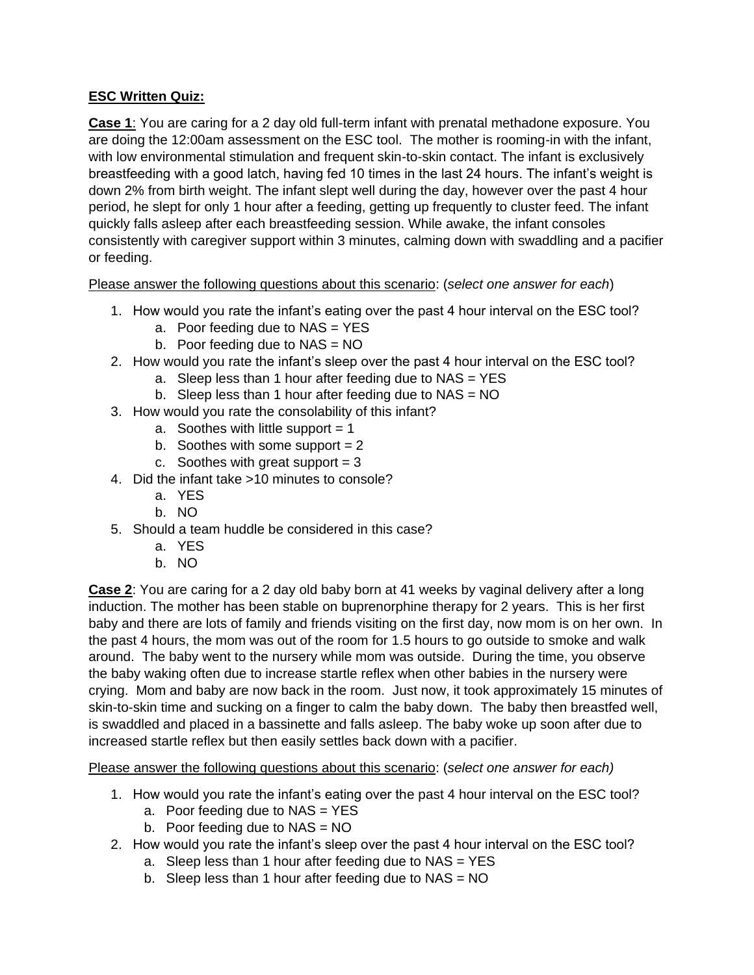## **ESC Written Quiz:**

**Case 1**: You are caring for a 2 day old full-term infant with prenatal methadone exposure. You are doing the 12:00am assessment on the ESC tool. The mother is rooming-in with the infant, with low environmental stimulation and frequent skin-to-skin contact. The infant is exclusively breastfeeding with a good latch, having fed 10 times in the last 24 hours. The infant's weight is down 2% from birth weight. The infant slept well during the day, however over the past 4 hour period, he slept for only 1 hour after a feeding, getting up frequently to cluster feed. The infant quickly falls asleep after each breastfeeding session. While awake, the infant consoles consistently with caregiver support within 3 minutes, calming down with swaddling and a pacifier or feeding.

Please answer the following questions about this scenario: (*select one answer for each*)

- 1. How would you rate the infant's eating over the past 4 hour interval on the ESC tool?
	- a. Poor feeding due to NAS = YES
	- b. Poor feeding due to  $NAS = NO$
- 2. How would you rate the infant's sleep over the past 4 hour interval on the ESC tool?
	- a. Sleep less than 1 hour after feeding due to NAS = YES
	- b. Sleep less than 1 hour after feeding due to  $NAS = NO$
- 3. How would you rate the consolability of this infant?
	- a. Soothes with little support  $= 1$
	- b. Soothes with some support  $= 2$
	- c. Soothes with great support  $= 3$
- 4. Did the infant take >10 minutes to console?
	- a. YES
	- b. NO
- 5. Should a team huddle be considered in this case?
	- a. YES
	- b. NO

**Case 2**: You are caring for a 2 day old baby born at 41 weeks by vaginal delivery after a long induction. The mother has been stable on buprenorphine therapy for 2 years. This is her first baby and there are lots of family and friends visiting on the first day, now mom is on her own. In the past 4 hours, the mom was out of the room for 1.5 hours to go outside to smoke and walk around. The baby went to the nursery while mom was outside. During the time, you observe the baby waking often due to increase startle reflex when other babies in the nursery were crying. Mom and baby are now back in the room. Just now, it took approximately 15 minutes of skin-to-skin time and sucking on a finger to calm the baby down. The baby then breastfed well, is swaddled and placed in a bassinette and falls asleep. The baby woke up soon after due to increased startle reflex but then easily settles back down with a pacifier.

Please answer the following questions about this scenario: (*select one answer for each)*

- 1. How would you rate the infant's eating over the past 4 hour interval on the ESC tool?
	- a. Poor feeding due to NAS = YES
	- b. Poor feeding due to  $NAS = NO$
- 2. How would you rate the infant's sleep over the past 4 hour interval on the ESC tool?
	- a. Sleep less than 1 hour after feeding due to  $NAS = YES$
	- b. Sleep less than 1 hour after feeding due to  $NAS = NO$